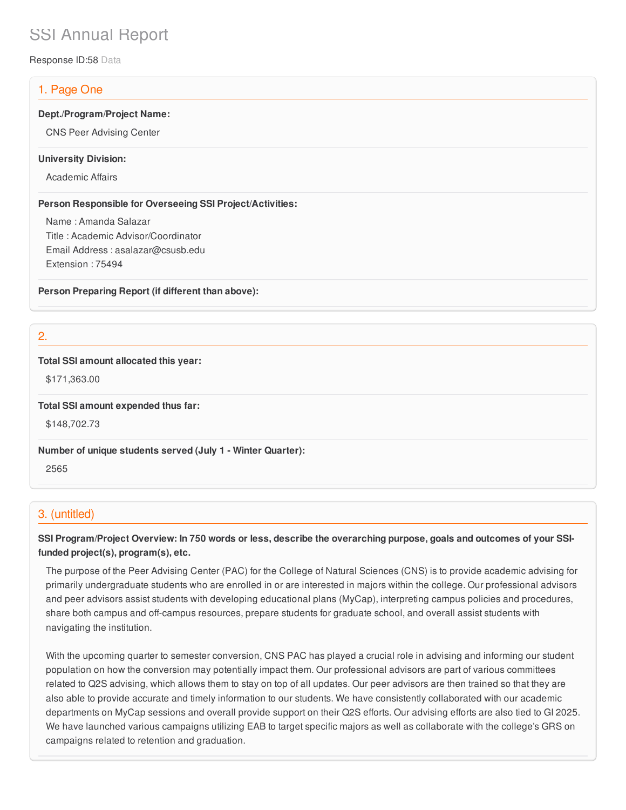# SSI Annual Report

Response ID:58 Data

# 1. Page One

#### **Dept./Program/Project Name:**

CNS Peer Advising Center

#### **University Division:**

Academic Affairs

#### **Person Responsible for Overseeing SSI Project/Activities:**

Name : Amanda Salazar Title : Academic Advisor/Coordinator Email Address : asalazar@csusb.edu Extension : 75494

**Person Preparing Report (if different than above):**

2.

#### **Total SSI amount allocated this year:**

\$171,363.00

**Total SSI amount expended thus far:**

\$148,702.73

**Number of unique students served (July 1 - Winter Quarter):**

2565

## 3. (untitled)

## SSI Program/Project Overview: In 750 words or less, describe the overarching purpose, goals and outcomes of your SSI**funded project(s), program(s), etc.**

The purpose of the Peer Advising Center (PAC) for the College of Natural Sciences (CNS) is to provide academic advising for primarily undergraduate students who are enrolled in or are interested in majors within the college. Our professional advisors and peer advisors assist students with developing educational plans (MyCap), interpreting campus policies and procedures, share both campus and off-campus resources, prepare students for graduate school, and overall assist students with navigating the institution.

With the upcoming quarter to semester conversion, CNS PAC has played a crucial role in advising and informing our student population on how the conversion may potentially impact them. Our professional advisors are part of various committees related to Q2S advising, which allows them to stay on top of all updates. Our peer advisors are then trained so that they are also able to provide accurate and timely information to our students. We have consistently collaborated with our academic departments on MyCap sessions and overall provide support on their Q2S efforts. Our advising efforts are also tied to GI 2025. We have launched various campaigns utilizing EAB to target specific majors as well as collaborate with the college's GRS on campaigns related to retention and graduation.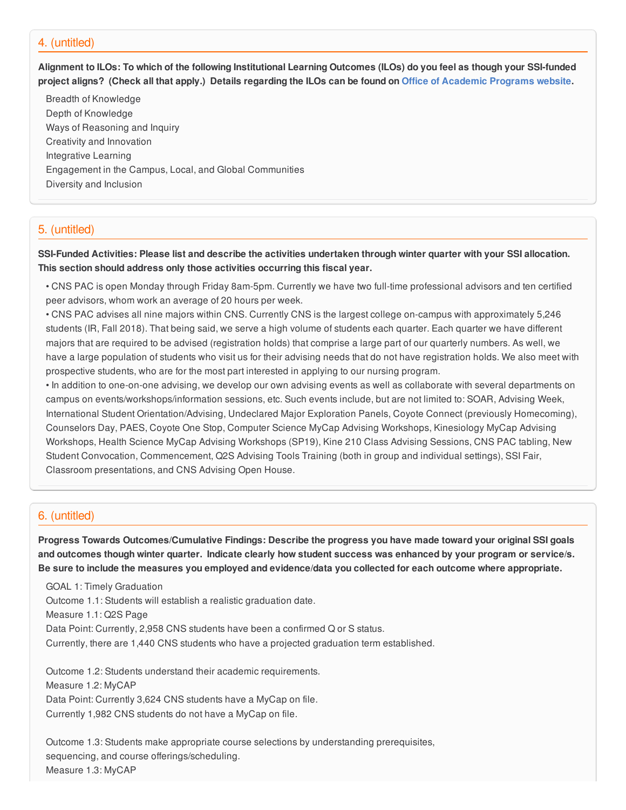## 4. (untitled)

Alignment to ILOs: To which of the following Institutional Learning Outcomes (ILOs) do you feel as though your SSI-funded project aligns? (Check all that apply.) Details regarding the ILOs can be found on Office of [Academic](https://www.csusb.edu/sites/csusb/files/CSUSB_Institutional_Learning_Outcomes-Endorsed.pdf) Programs website.

Breadth of Knowledge Depth of Knowledge Ways of Reasoning and Inquiry Creativity and Innovation Integrative Learning Engagement in the Campus, Local, and Global Communities Diversity and Inclusion

## 5. (untitled)

SSI-Funded Activities: Please list and describe the activities undertaken through winter quarter with your SSI allocation. **This section should address only those activities occurring this fiscal year.**

• CNS PAC is open Monday through Friday 8am-5pm. Currently we have two full-time professional advisors and ten certified peer advisors, whom work an average of 20 hours per week.

• CNS PAC advises all nine majors within CNS. Currently CNS is the largest college on-campus with approximately 5,246 students (IR, Fall 2018). That being said, we serve a high volume of students each quarter. Each quarter we have different majors that are required to be advised (registration holds) that comprise a large part of our quarterly numbers. As well, we have a large population of students who visit us for their advising needs that do not have registration holds. We also meet with prospective students, who are for the most part interested in applying to our nursing program.

• In addition to one-on-one advising, we develop our own advising events as well as collaborate with several departments on campus on events/workshops/information sessions, etc. Such events include, but are not limited to: SOAR, Advising Week, International Student Orientation/Advising, Undeclared Major Exploration Panels, Coyote Connect (previously Homecoming), Counselors Day, PAES, Coyote One Stop, Computer Science MyCap Advising Workshops, Kinesiology MyCap Advising Workshops, Health Science MyCap Advising Workshops (SP19), Kine 210 Class Advising Sessions, CNS PAC tabling, New Student Convocation, Commencement, Q2S Advising Tools Training (both in group and individual settings), SSI Fair, Classroom presentations, and CNS Advising Open House.

#### 6. (untitled)

**Progress Towards Outcomes/Cumulative Findings: Describe the progress you have made toward your original SSI goals** and outcomes though winter quarter. Indicate clearly how student success was enhanced by your program or service/s. Be sure to include the measures you employed and evidence/data you collected for each outcome where appropriate.

GOAL 1: Timely Graduation Outcome 1.1: Students will establish a realistic graduation date. Measure 1.1: Q2S Page Data Point: Currently, 2,958 CNS students have been a confirmed Q or S status. Currently, there are 1,440 CNS students who have a projected graduation term established.

Outcome 1.2: Students understand their academic requirements. Measure 1.2: MyCAP Data Point: Currently 3,624 CNS students have a MyCap on file. Currently 1,982 CNS students do not have a MyCap on file.

Outcome 1.3: Students make appropriate course selections by understanding prerequisites, sequencing, and course offerings/scheduling. Measure 1.3: MyCAP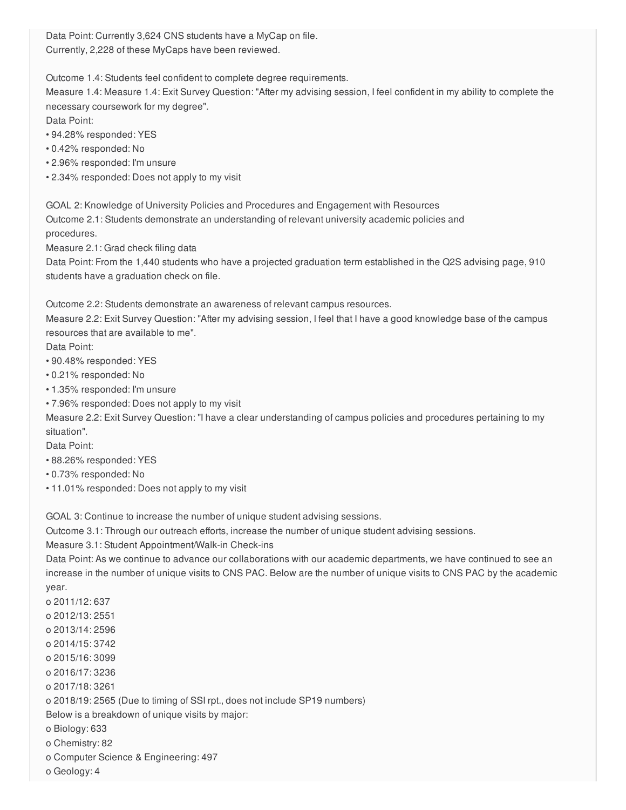Data Point: Currently 3,624 CNS students have a MyCap on file. Currently, 2,228 of these MyCaps have been reviewed.

Outcome 1.4: Students feel confident to complete degree requirements.

Measure 1.4: Measure 1.4: Exit Survey Question: "After my advising session, I feel confident in my ability to complete the necessary coursework for my degree".

Data Point:

- 94.28% responded: YES
- 0.42% responded: No
- 2.96% responded: I'm unsure
- 2.34% responded: Does not apply to my visit

GOAL 2: Knowledge of University Policies and Procedures and Engagement with Resources Outcome 2.1: Students demonstrate an understanding of relevant university academic policies and procedures.

Measure 2.1: Grad check filing data

Data Point: From the 1,440 students who have a projected graduation term established in the Q2S advising page, 910 students have a graduation check on file.

Outcome 2.2: Students demonstrate an awareness of relevant campus resources.

Measure 2.2: Exit Survey Question: "After my advising session, I feel that I have a good knowledge base of the campus resources that are available to me".

Data Point:

- 90.48% responded: YES
- 0.21% responded: No
- 1.35% responded: I'm unsure
- 7.96% responded: Does not apply to my visit

Measure 2.2: Exit Survey Question: "I have a clear understanding of campus policies and procedures pertaining to my situation".

Data Point:

- 88.26% responded: YES
- 0.73% responded: No
- 11.01% responded: Does not apply to my visit

GOAL 3: Continue to increase the number of unique student advising sessions.

Outcome 3.1: Through our outreach efforts, increase the number of unique student advising sessions.

Measure 3.1: Student Appointment/Walk-in Check-ins

Data Point: As we continue to advance our collaborations with our academic departments, we have continued to see an increase in the number of unique visits to CNS PAC. Below are the number of unique visits to CNS PAC by the academic year.

o 2011/12: 637 o 2012/13: 2551 o 2013/14: 2596 o 2014/15: 3742 o 2015/16: 3099 o 2016/17: 3236 o 2017/18: 3261 o 2018/19: 2565 (Due to timing of SSI rpt., does not include SP19 numbers) Below is a breakdown of unique visits by major: o Biology: 633 o Chemistry: 82 o Computer Science & Engineering: 497

o Geology: 4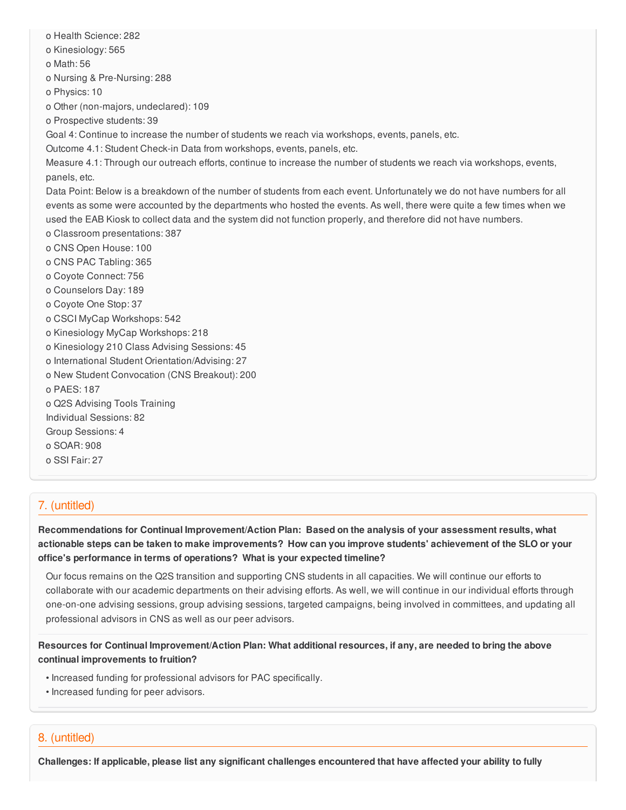o Health Science: 282 o Kinesiology: 565 o Math: 56 o Nursing & Pre-Nursing: 288 o Physics: 10 o Other (non-majors, undeclared): 109 o Prospective students: 39 Goal 4: Continue to increase the number of students we reach via workshops, events, panels, etc. Outcome 4.1: Student Check-in Data from workshops, events, panels, etc. Measure 4.1: Through our outreach efforts, continue to increase the number of students we reach via workshops, events, panels, etc. Data Point: Below is a breakdown of the number of students from each event. Unfortunately we do not have numbers for all events as some were accounted by the departments who hosted the events. As well, there were quite a few times when we used the EAB Kiosk to collect data and the system did not function properly, and therefore did not have numbers. o Classroom presentations: 387 o CNS Open House: 100 o CNS PAC Tabling: 365 o Coyote Connect: 756 o Counselors Day: 189 o Coyote One Stop: 37 o CSCI MyCap Workshops: 542 o Kinesiology MyCap Workshops: 218 o Kinesiology 210 Class Advising Sessions: 45 o International Student Orientation/Advising: 27 o New Student Convocation (CNS Breakout): 200 o PAES: 187 o Q2S Advising Tools Training Individual Sessions: 82 Group Sessions: 4 o SOAR: 908 o SSI Fair: 27

## 7. (untitled)

**Recommendations for Continual Improvement/Action Plan: Based on the analysis of your assessment results, what** actionable steps can be taken to make improvements? How can you improve students' achievement of the SLO or your **office's performance in terms of operations? What is your expected timeline?**

Our focus remains on the Q2S transition and supporting CNS students in all capacities. We will continue our efforts to collaborate with our academic departments on their advising efforts. As well, we will continue in our individual efforts through one-on-one advising sessions, group advising sessions, targeted campaigns, being involved in committees, and updating all professional advisors in CNS as well as our peer advisors.

Resources for Continual Improvement/Action Plan: What additional resources, if any, are needed to bring the above **continual improvements to fruition?**

- Increased funding for professional advisors for PAC specifically.
- Increased funding for peer advisors.

## 8. (untitled)

Challenges: If applicable, please list any significant challenges encountered that have affected your ability to fully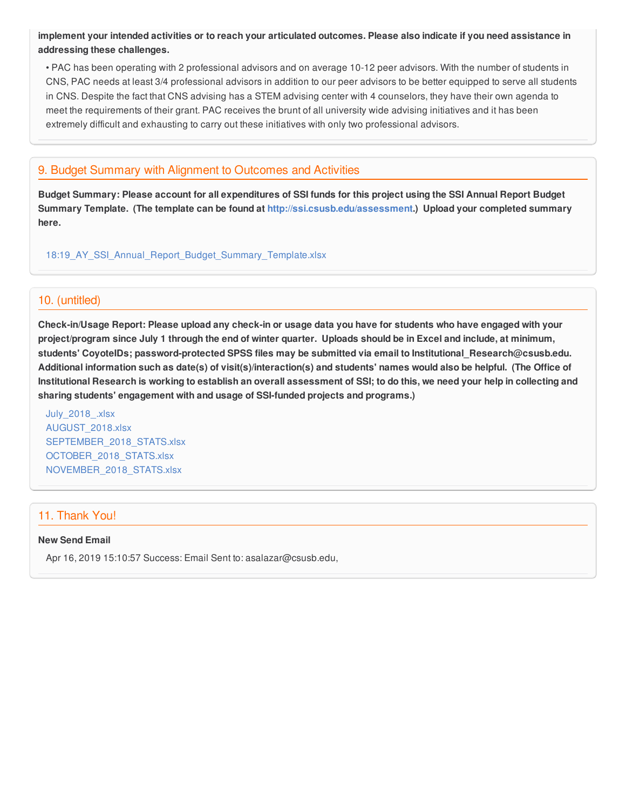implement your intended activities or to reach your articulated outcomes. Please also indicate if you need assistance in **addressing these challenges.**

• PAC has been operating with 2 professional advisors and on average 10-12 peer advisors. With the number of students in CNS, PAC needs at least 3/4 professional advisors in addition to our peer advisors to be better equipped to serve all students in CNS. Despite the fact that CNS advising has a STEM advising center with 4 counselors, they have their own agenda to meet the requirements of their grant. PAC receives the brunt of all university wide advising initiatives and it has been extremely difficult and exhausting to carry out these initiatives with only two professional advisors.

## 9. Budget Summary with Alignment to Outcomes and Activities

Budget Summary: Please account for all expenditures of SSI funds for this project using the SSI Annual Report Budget **Summary Template. (The template can be found at <http://ssi.csusb.edu/assessment>.) Upload your completed summary here.**

18:19 AY\_SSI\_Annual\_Report\_Budget\_Summary\_Template.xlsx

## 10. (untitled)

Check-in/Usage Report: Please upload any check-in or usage data you have for students who have engaged with your project/program since July 1 through the end of winter quarter. Uploads should be in Excel and include, at minimum, **students' CoyoteIDs; password-protected SPSS files may be submitted via email to Institutional\_Research@csusb.edu.** Additional information such as date(s) of visit(s)/interaction(s) and students' names would also be helpful. (The Office of Institutional Research is working to establish an overall assessment of SSI; to do this, we need your help in collecting and **sharing students' engagement with and usage of SSI-funded projects and programs.)**

[July\\_2018\\_.xlsx](https://surveygizmoresponseuploads.s3.amazonaws.com/fileuploads/98679/3939151/66-e0a86f8edeb88e1571e6a3668356b331_July_2018_.xlsx) [AUGUST\\_2018.xlsx](https://surveygizmoresponseuploads.s3.amazonaws.com/fileuploads/98679/3939151/160-166d6ed7f454b3484486756effd525ed_AUGUST_2018.xlsx) SEPTEMBER 2018 STATS.xlsx [OCTOBER\\_2018\\_STATS.xlsx](https://surveygizmoresponseuploads.s3.amazonaws.com/fileuploads/98679/3939151/161-3e54f14e2843c1bcde907e6d4310aa59_OCTOBER_2018_STATS.xlsx) [NOVEMBER\\_2018\\_STATS.xlsx](https://surveygizmoresponseuploads.s3.amazonaws.com/fileuploads/98679/3939151/244-7529c83e2d0500859a1d55e9664476eb_NOVEMBER_2018_STATS.xlsx)

## 11. Thank You!

#### **New Send Email**

Apr 16, 2019 15:10:57 Success: Email Sent to: asalazar@csusb.edu,